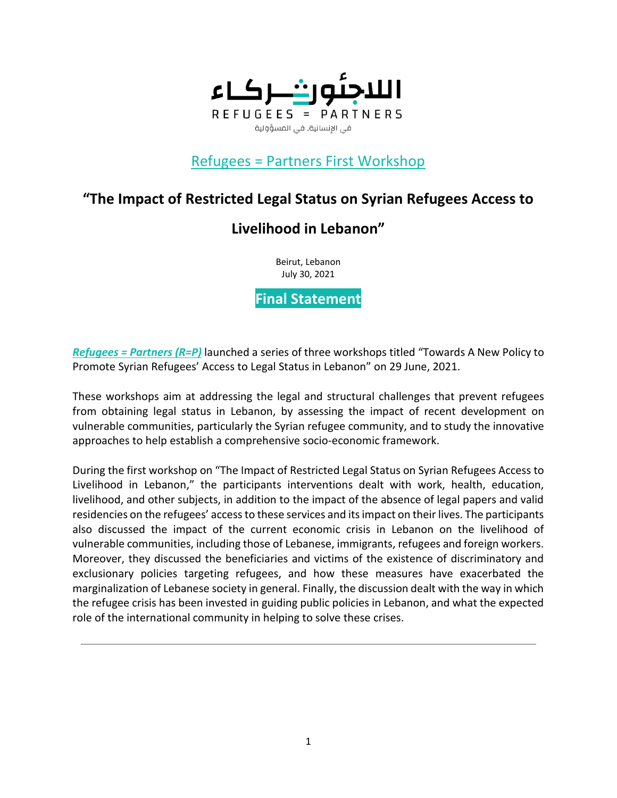

### Refugees = Partners First Workshop

## **"The Impact of Restricted Legal Status on Syrian Refugees Access to**

# **Livelihood in Lebanon"**

Beirut, Lebanon July 30, 2021

**Final Statement**

*[Refugees](https://refugees-partners.org/) = Partners (R=P)* launched a series of three workshops titled "Towards A New Policy to Promote Syrian Refugees' Access to Legal Status in Lebanon" on 29 June, 2021.

These workshops aim at addressing the legal and structural challenges that prevent refugees from obtaining legal status in Lebanon, by assessing the impact of recent development on vulnerable communities, particularly the Syrian refugee community, and to study the innovative approaches to help establish a comprehensive socio-economic framework.

During the first workshop on "The Impact of Restricted Legal Status on Syrian Refugees Access to Livelihood in Lebanon," the participants interventions dealt with work, health, education, livelihood, and other subjects, in addition to the impact of the absence of legal papers and valid residencies on the refugees' access to these services and its impact on their lives. The participants also discussed the impact of the current economic crisis in Lebanon on the livelihood of vulnerable communities, including those of Lebanese, immigrants, refugees and foreign workers. Moreover, they discussed the beneficiaries and victims of the existence of discriminatory and exclusionary policies targeting refugees, and how these measures have exacerbated the marginalization of Lebanese society in general. Finally, the discussion dealt with the way in which the refugee crisis has been invested in guiding public policies in Lebanon, and what the expected role of the international community in helping to solve these crises.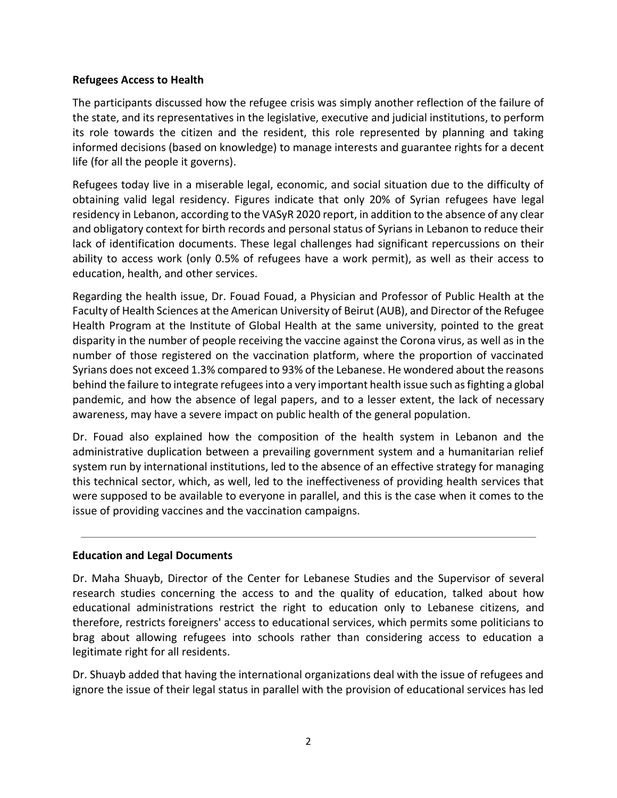### **Refugees Access to Health**

The participants discussed how the refugee crisis was simply another reflection of the failure of the state, and its representatives in the legislative, executive and judicial institutions, to perform its role towards the citizen and the resident, this role represented by planning and taking informed decisions (based on knowledge) to manage interests and guarantee rights for a decent life (for all the people it governs).

Refugees today live in a miserable legal, economic, and social situation due to the difficulty of obtaining valid legal residency. Figures indicate that only 20% of Syrian refugees have legal residency in Lebanon, according to the VASyR 2020 report, in addition to the absence of any clear and obligatory context for birth records and personal status of Syrians in Lebanon to reduce their lack of identification documents. These legal challenges had significant repercussions on their ability to access work (only 0.5% of refugees have a work permit), as well as their access to education, health, and other services.

Regarding the health issue, Dr. Fouad Fouad, a Physician and Professor of Public Health at the Faculty of Health Sciences at the American University of Beirut (AUB), and Director of the Refugee Health Program at the Institute of Global Health at the same university, pointed to the great disparity in the number of people receiving the vaccine against the Corona virus, as well as in the number of those registered on the vaccination platform, where the proportion of vaccinated Syrians does not exceed 1.3% compared to 93% of the Lebanese. He wondered about the reasons behind the failure to integrate refugees into a very important health issue such as fighting a global pandemic, and how the absence of legal papers, and to a lesser extent, the lack of necessary awareness, may have a severe impact on public health of the general population.

Dr. Fouad also explained how the composition of the health system in Lebanon and the administrative duplication between a prevailing government system and a humanitarian relief system run by international institutions, led to the absence of an effective strategy for managing this technical sector, which, as well, led to the ineffectiveness of providing health services that were supposed to be available to everyone in parallel, and this is the case when it comes to the issue of providing vaccines and the vaccination campaigns.

#### **Education and Legal Documents**

Dr. Maha Shuayb, Director of the Center for Lebanese Studies and the Supervisor of several research studies concerning the access to and the quality of education, talked about how educational administrations restrict the right to education only to Lebanese citizens, and therefore, restricts foreigners' access to educational services, which permits some politicians to brag about allowing refugees into schools rather than considering access to education a legitimate right for all residents.

Dr. Shuayb added that having the international organizations deal with the issue of refugees and ignore the issue of their legal status in parallel with the provision of educational services has led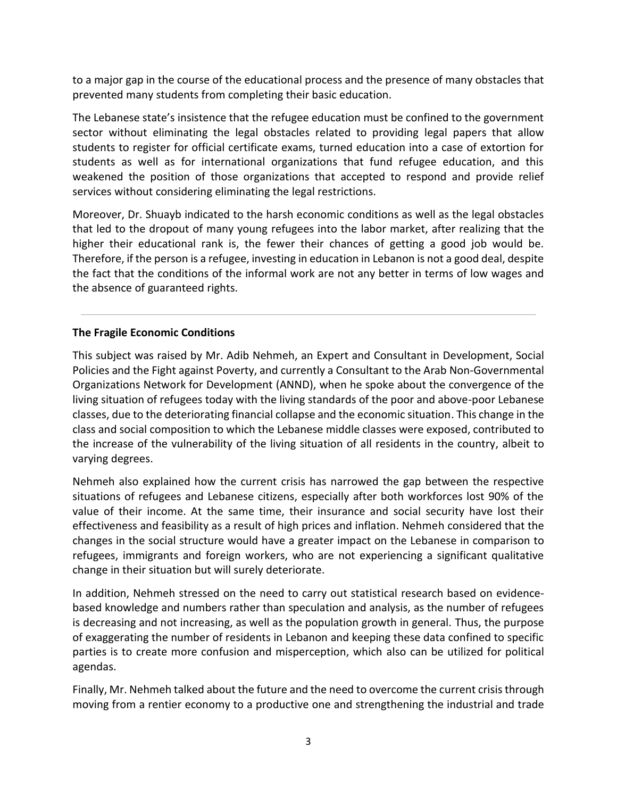to a major gap in the course of the educational process and the presence of many obstacles that prevented many students from completing their basic education.

The Lebanese state's insistence that the refugee education must be confined to the government sector without eliminating the legal obstacles related to providing legal papers that allow students to register for official certificate exams, turned education into a case of extortion for students as well as for international organizations that fund refugee education, and this weakened the position of those organizations that accepted to respond and provide relief services without considering eliminating the legal restrictions.

Moreover, Dr. Shuayb indicated to the harsh economic conditions as well as the legal obstacles that led to the dropout of many young refugees into the labor market, after realizing that the higher their educational rank is, the fewer their chances of getting a good job would be. Therefore, if the person is a refugee, investing in education in Lebanon is not a good deal, despite the fact that the conditions of the informal work are not any better in terms of low wages and the absence of guaranteed rights.

### **The Fragile Economic Conditions**

This subject was raised by Mr. Adib Nehmeh, an Expert and Consultant in Development, Social Policies and the Fight against Poverty, and currently a Consultant to the Arab Non-Governmental Organizations Network for Development (ANND), when he spoke about the convergence of the living situation of refugees today with the living standards of the poor and above-poor Lebanese classes, due to the deteriorating financial collapse and the economic situation. This change in the class and social composition to which the Lebanese middle classes were exposed, contributed to the increase of the vulnerability of the living situation of all residents in the country, albeit to varying degrees.

Nehmeh also explained how the current crisis has narrowed the gap between the respective situations of refugees and Lebanese citizens, especially after both workforces lost 90% of the value of their income. At the same time, their insurance and social security have lost their effectiveness and feasibility as a result of high prices and inflation. Nehmeh considered that the changes in the social structure would have a greater impact on the Lebanese in comparison to refugees, immigrants and foreign workers, who are not experiencing a significant qualitative change in their situation but will surely deteriorate.

In addition, Nehmeh stressed on the need to carry out statistical research based on evidencebased knowledge and numbers rather than speculation and analysis, as the number of refugees is decreasing and not increasing, as well as the population growth in general. Thus, the purpose of exaggerating the number of residents in Lebanon and keeping these data confined to specific parties is to create more confusion and misperception, which also can be utilized for political agendas.

Finally, Mr. Nehmeh talked about the future and the need to overcome the current crisis through moving from a rentier economy to a productive one and strengthening the industrial and trade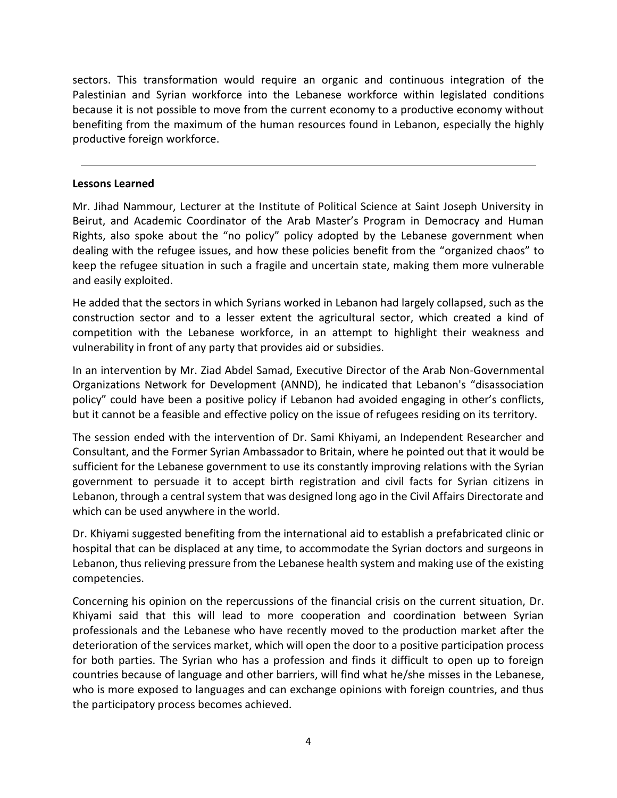sectors. This transformation would require an organic and continuous integration of the Palestinian and Syrian workforce into the Lebanese workforce within legislated conditions because it is not possible to move from the current economy to a productive economy without benefiting from the maximum of the human resources found in Lebanon, especially the highly productive foreign workforce.

#### **Lessons Learned**

Mr. Jihad Nammour, Lecturer at the Institute of Political Science at Saint Joseph University in Beirut, and Academic Coordinator of the Arab Master's Program in Democracy and Human Rights, also spoke about the "no policy" policy adopted by the Lebanese government when dealing with the refugee issues, and how these policies benefit from the "organized chaos" to keep the refugee situation in such a fragile and uncertain state, making them more vulnerable and easily exploited.

He added that the sectors in which Syrians worked in Lebanon had largely collapsed, such as the construction sector and to a lesser extent the agricultural sector, which created a kind of competition with the Lebanese workforce, in an attempt to highlight their weakness and vulnerability in front of any party that provides aid or subsidies.

In an intervention by Mr. Ziad Abdel Samad, Executive Director of the Arab Non-Governmental Organizations Network for Development (ANND), he indicated that Lebanon's "disassociation policy" could have been a positive policy if Lebanon had avoided engaging in other's conflicts, but it cannot be a feasible and effective policy on the issue of refugees residing on its territory.

The session ended with the intervention of Dr. Sami Khiyami, an Independent Researcher and Consultant, and the Former Syrian Ambassador to Britain, where he pointed out that it would be sufficient for the Lebanese government to use its constantly improving relations with the Syrian government to persuade it to accept birth registration and civil facts for Syrian citizens in Lebanon, through a central system that was designed long ago in the Civil Affairs Directorate and which can be used anywhere in the world.

Dr. Khiyami suggested benefiting from the international aid to establish a prefabricated clinic or hospital that can be displaced at any time, to accommodate the Syrian doctors and surgeons in Lebanon, thus relieving pressure from the Lebanese health system and making use of the existing competencies.

Concerning his opinion on the repercussions of the financial crisis on the current situation, Dr. Khiyami said that this will lead to more cooperation and coordination between Syrian professionals and the Lebanese who have recently moved to the production market after the deterioration of the services market, which will open the door to a positive participation process for both parties. The Syrian who has a profession and finds it difficult to open up to foreign countries because of language and other barriers, will find what he/she misses in the Lebanese, who is more exposed to languages and can exchange opinions with foreign countries, and thus the participatory process becomes achieved.